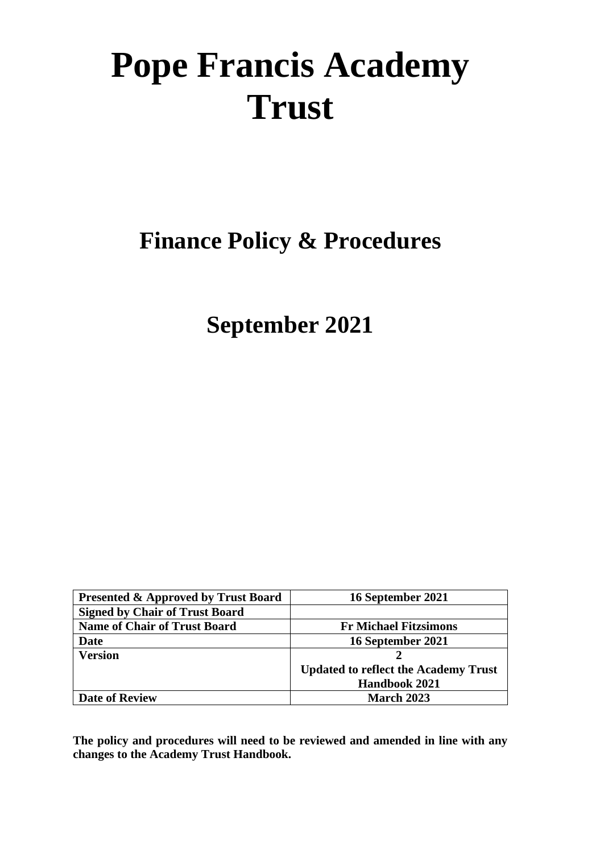# **Pope Francis Academy Trust**

**Finance Policy & Procedures** 

**September 2021**

| <b>Presented &amp; Approved by Trust Board</b> | 16 September 2021                           |
|------------------------------------------------|---------------------------------------------|
| <b>Signed by Chair of Trust Board</b>          |                                             |
| <b>Name of Chair of Trust Board</b>            | <b>Fr Michael Fitzsimons</b>                |
| <b>Date</b>                                    | 16 September 2021                           |
| <b>Version</b>                                 |                                             |
|                                                | <b>Updated to reflect the Academy Trust</b> |
|                                                | <b>Handbook 2021</b>                        |
| <b>Date of Review</b>                          | March 2023                                  |

**The policy and procedures will need to be reviewed and amended in line with any changes to the Academy Trust Handbook.**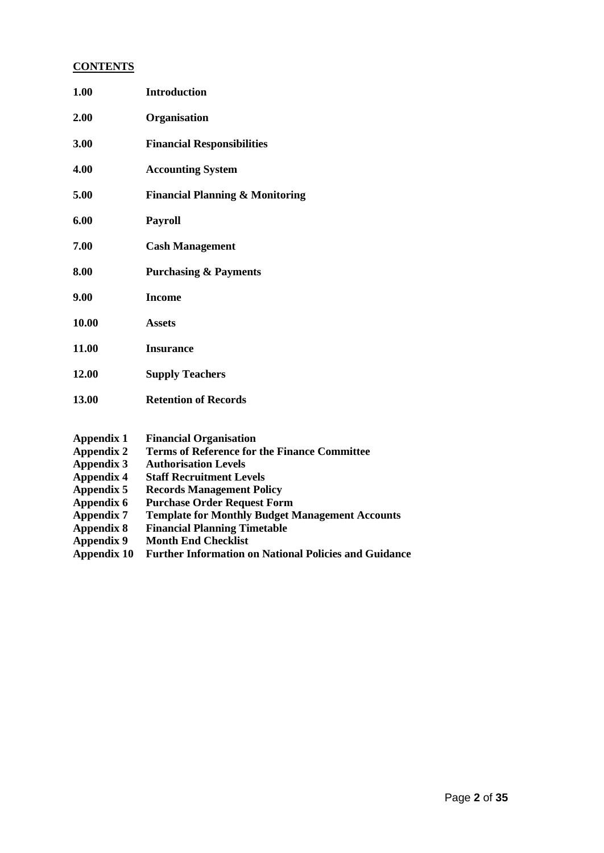## **CONTENTS**

| 1.00              | <b>Introduction</b>                                    |
|-------------------|--------------------------------------------------------|
| 2.00              | Organisation                                           |
| 3.00              | <b>Financial Responsibilities</b>                      |
| 4.00              | <b>Accounting System</b>                               |
| 5.00              | <b>Financial Planning &amp; Monitoring</b>             |
| 6.00              | <b>Payroll</b>                                         |
| 7.00              | <b>Cash Management</b>                                 |
| 8.00              | <b>Purchasing &amp; Payments</b>                       |
| 9.00              | <b>Income</b>                                          |
| 10.00             | <b>Assets</b>                                          |
| 11.00             | <b>Insurance</b>                                       |
| 12.00             | <b>Supply Teachers</b>                                 |
| 13.00             | <b>Retention of Records</b>                            |
| <b>Appendix 1</b> | <b>Financial Organisation</b>                          |
| <b>Appendix 2</b> | <b>Terms of Reference for the Finance Committee</b>    |
| <b>Appendix 3</b> | <b>Authorisation Levels</b>                            |
| <b>Appendix 4</b> | <b>Staff Recruitment Levels</b>                        |
| <b>Appendix 5</b> | <b>Records Management Policy</b>                       |
| Appendix 6        | <b>Purchase Order Request Form</b>                     |
| <b>Appendix 7</b> | <b>Template for Monthly Budget Management Accounts</b> |
| <b>Appendix 8</b> | <b>Financial Planning Timetable</b>                    |

- **Appendix 9 Month End Checklist**
- **Appendix 10 Further Information on National Policies and Guidance**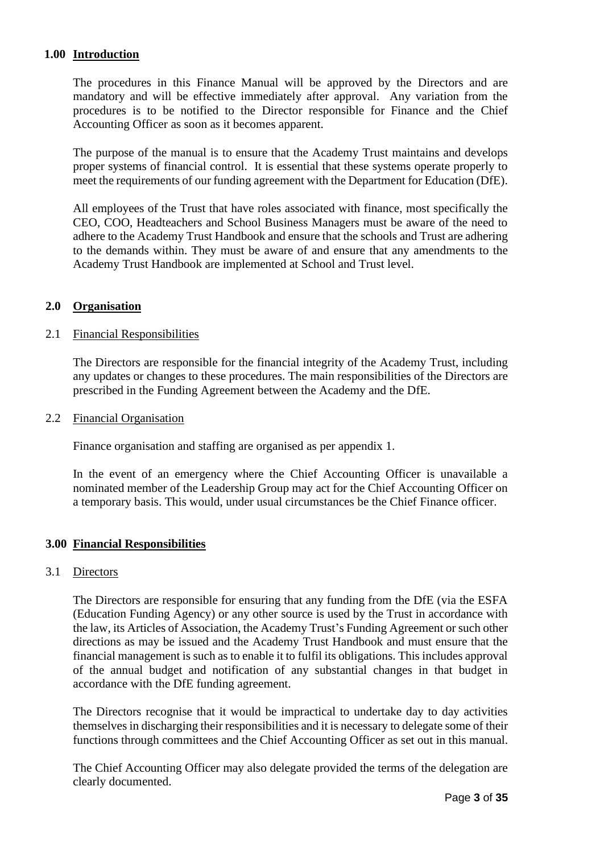## **1.00 Introduction**

The procedures in this Finance Manual will be approved by the Directors and are mandatory and will be effective immediately after approval. Any variation from the procedures is to be notified to the Director responsible for Finance and the Chief Accounting Officer as soon as it becomes apparent.

The purpose of the manual is to ensure that the Academy Trust maintains and develops proper systems of financial control. It is essential that these systems operate properly to meet the requirements of our funding agreement with the Department for Education (DfE).

All employees of the Trust that have roles associated with finance, most specifically the CEO, COO, Headteachers and School Business Managers must be aware of the need to adhere to the Academy Trust Handbook and ensure that the schools and Trust are adhering to the demands within. They must be aware of and ensure that any amendments to the Academy Trust Handbook are implemented at School and Trust level.

## **2.0 Organisation**

#### 2.1 Financial Responsibilities

The Directors are responsible for the financial integrity of the Academy Trust, including any updates or changes to these procedures. The main responsibilities of the Directors are prescribed in the Funding Agreement between the Academy and the DfE.

#### 2.2 Financial Organisation

Finance organisation and staffing are organised as per appendix 1.

In the event of an emergency where the Chief Accounting Officer is unavailable a nominated member of the Leadership Group may act for the Chief Accounting Officer on a temporary basis. This would, under usual circumstances be the Chief Finance officer.

## **3.00 Financial Responsibilities**

#### 3.1 Directors

The Directors are responsible for ensuring that any funding from the DfE (via the ESFA (Education Funding Agency) or any other source is used by the Trust in accordance with the law, its Articles of Association, the Academy Trust's Funding Agreement or such other directions as may be issued and the Academy Trust Handbook and must ensure that the financial management is such as to enable it to fulfil its obligations. This includes approval of the annual budget and notification of any substantial changes in that budget in accordance with the DfE funding agreement.

The Directors recognise that it would be impractical to undertake day to day activities themselves in discharging their responsibilities and it is necessary to delegate some of their functions through committees and the Chief Accounting Officer as set out in this manual.

The Chief Accounting Officer may also delegate provided the terms of the delegation are clearly documented.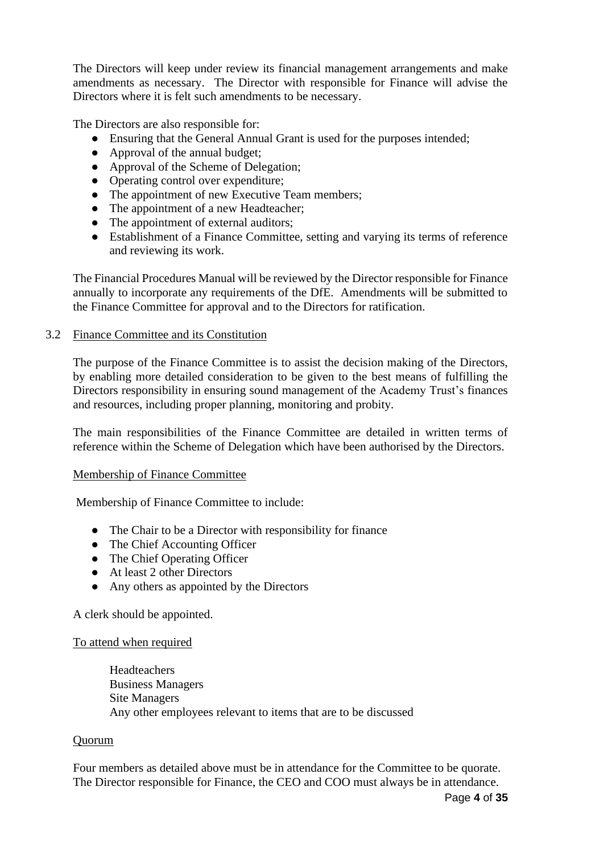The Directors will keep under review its financial management arrangements and make amendments as necessary. The Director with responsible for Finance will advise the Directors where it is felt such amendments to be necessary.

The Directors are also responsible for:

- Ensuring that the General Annual Grant is used for the purposes intended;
- Approval of the annual budget;
- Approval of the Scheme of Delegation;
- Operating control over expenditure;
- The appointment of new Executive Team members;
- The appointment of a new Headteacher;
- The appointment of external auditors;
- Establishment of a Finance Committee, setting and varying its terms of reference and reviewing its work.

The Financial Procedures Manual will be reviewed by the Director responsible for Finance annually to incorporate any requirements of the DfE. Amendments will be submitted to the Finance Committee for approval and to the Directors for ratification.

## 3.2 Finance Committee and its Constitution

The purpose of the Finance Committee is to assist the decision making of the Directors, by enabling more detailed consideration to be given to the best means of fulfilling the Directors responsibility in ensuring sound management of the Academy Trust's finances and resources, including proper planning, monitoring and probity.

The main responsibilities of the Finance Committee are detailed in written terms of reference within the Scheme of Delegation which have been authorised by the Directors.

## Membership of Finance Committee

Membership of Finance Committee to include:

- The Chair to be a Director with responsibility for finance
- The Chief Accounting Officer
- The Chief Operating Officer
- At least 2 other Directors
- Any others as appointed by the Directors

A clerk should be appointed.

## To attend when required

Headteachers Business Managers Site Managers Any other employees relevant to items that are to be discussed

## Quorum

Four members as detailed above must be in attendance for the Committee to be quorate. The Director responsible for Finance, the CEO and COO must always be in attendance.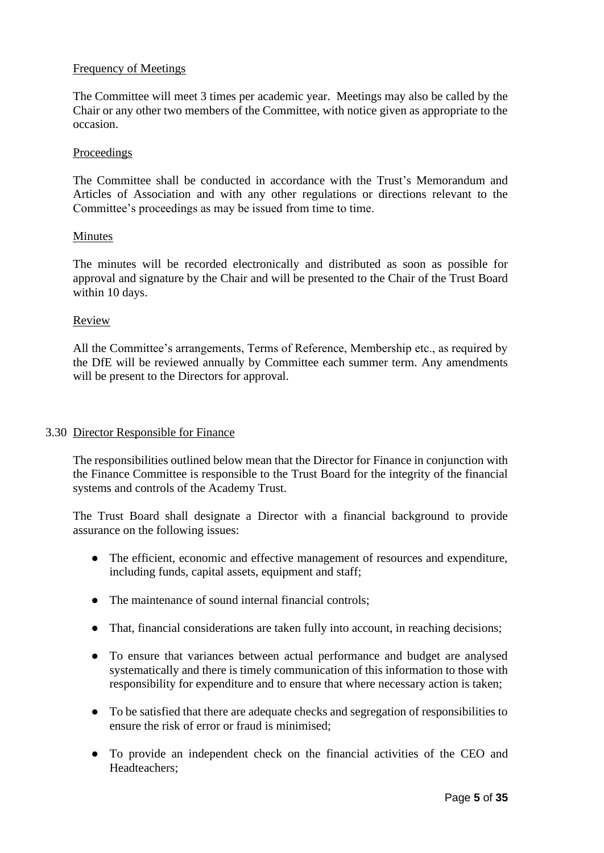## Frequency of Meetings

The Committee will meet 3 times per academic year. Meetings may also be called by the Chair or any other two members of the Committee, with notice given as appropriate to the occasion.

#### Proceedings

The Committee shall be conducted in accordance with the Trust's Memorandum and Articles of Association and with any other regulations or directions relevant to the Committee's proceedings as may be issued from time to time.

#### Minutes

The minutes will be recorded electronically and distributed as soon as possible for approval and signature by the Chair and will be presented to the Chair of the Trust Board within 10 days.

## Review

All the Committee's arrangements, Terms of Reference, Membership etc., as required by the DfE will be reviewed annually by Committee each summer term. Any amendments will be present to the Directors for approval.

## 3.30 Director Responsible for Finance

The responsibilities outlined below mean that the Director for Finance in conjunction with the Finance Committee is responsible to the Trust Board for the integrity of the financial systems and controls of the Academy Trust.

The Trust Board shall designate a Director with a financial background to provide assurance on the following issues:

- The efficient, economic and effective management of resources and expenditure, including funds, capital assets, equipment and staff;
- The maintenance of sound internal financial controls:
- That, financial considerations are taken fully into account, in reaching decisions;
- To ensure that variances between actual performance and budget are analysed systematically and there is timely communication of this information to those with responsibility for expenditure and to ensure that where necessary action is taken;
- To be satisfied that there are adequate checks and segregation of responsibilities to ensure the risk of error or fraud is minimised;
- To provide an independent check on the financial activities of the CEO and Headteachers;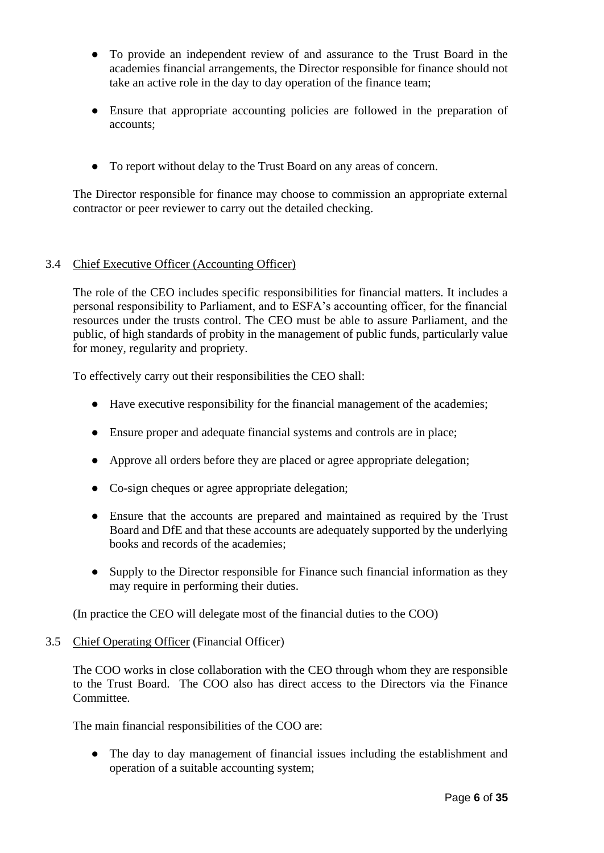- To provide an independent review of and assurance to the Trust Board in the academies financial arrangements, the Director responsible for finance should not take an active role in the day to day operation of the finance team;
- Ensure that appropriate accounting policies are followed in the preparation of accounts;
- To report without delay to the Trust Board on any areas of concern.

The Director responsible for finance may choose to commission an appropriate external contractor or peer reviewer to carry out the detailed checking.

## 3.4 Chief Executive Officer (Accounting Officer)

The role of the CEO includes specific responsibilities for financial matters. It includes a personal responsibility to Parliament, and to ESFA's accounting officer, for the financial resources under the trusts control. The CEO must be able to assure Parliament, and the public, of high standards of probity in the management of public funds, particularly value for money, regularity and propriety.

To effectively carry out their responsibilities the CEO shall:

- Have executive responsibility for the financial management of the academies;
- Ensure proper and adequate financial systems and controls are in place;
- Approve all orders before they are placed or agree appropriate delegation;
- Co-sign cheques or agree appropriate delegation;
- Ensure that the accounts are prepared and maintained as required by the Trust Board and DfE and that these accounts are adequately supported by the underlying books and records of the academies;
- Supply to the Director responsible for Finance such financial information as they may require in performing their duties.

(In practice the CEO will delegate most of the financial duties to the COO)

## 3.5 Chief Operating Officer (Financial Officer)

The COO works in close collaboration with the CEO through whom they are responsible to the Trust Board. The COO also has direct access to the Directors via the Finance Committee.

The main financial responsibilities of the COO are:

• The day to day management of financial issues including the establishment and operation of a suitable accounting system;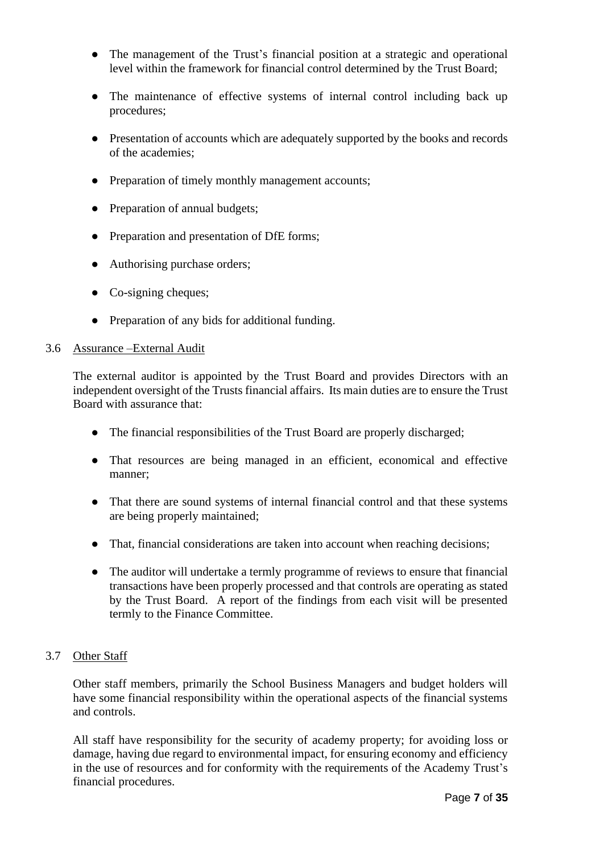- The management of the Trust's financial position at a strategic and operational level within the framework for financial control determined by the Trust Board;
- The maintenance of effective systems of internal control including back up procedures;
- Presentation of accounts which are adequately supported by the books and records of the academies;
- Preparation of timely monthly management accounts;
- Preparation of annual budgets;
- Preparation and presentation of DfE forms;
- Authorising purchase orders;
- Co-signing cheques;
- Preparation of any bids for additional funding.

#### 3.6 Assurance –External Audit

The external auditor is appointed by the Trust Board and provides Directors with an independent oversight of the Trusts financial affairs. Its main duties are to ensure the Trust Board with assurance that:

- The financial responsibilities of the Trust Board are properly discharged;
- That resources are being managed in an efficient, economical and effective manner;
- That there are sound systems of internal financial control and that these systems are being properly maintained;
- That, financial considerations are taken into account when reaching decisions;
- The auditor will undertake a termly programme of reviews to ensure that financial transactions have been properly processed and that controls are operating as stated by the Trust Board. A report of the findings from each visit will be presented termly to the Finance Committee.

## 3.7 Other Staff

Other staff members, primarily the School Business Managers and budget holders will have some financial responsibility within the operational aspects of the financial systems and controls.

All staff have responsibility for the security of academy property; for avoiding loss or damage, having due regard to environmental impact, for ensuring economy and efficiency in the use of resources and for conformity with the requirements of the Academy Trust's financial procedures.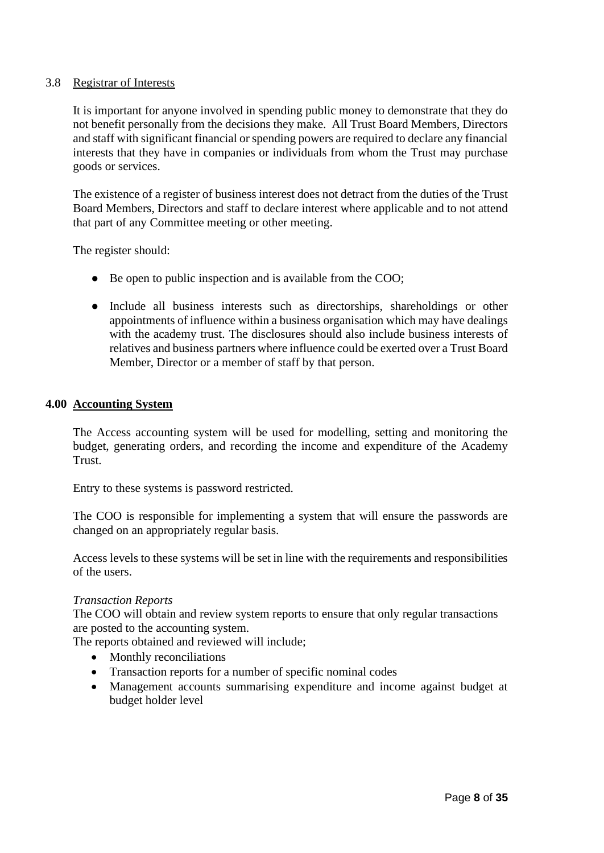## 3.8 Registrar of Interests

It is important for anyone involved in spending public money to demonstrate that they do not benefit personally from the decisions they make. All Trust Board Members, Directors and staff with significant financial or spending powers are required to declare any financial interests that they have in companies or individuals from whom the Trust may purchase goods or services.

The existence of a register of business interest does not detract from the duties of the Trust Board Members, Directors and staff to declare interest where applicable and to not attend that part of any Committee meeting or other meeting.

The register should:

- Be open to public inspection and is available from the COO;
- Include all business interests such as directorships, shareholdings or other appointments of influence within a business organisation which may have dealings with the academy trust. The disclosures should also include business interests of relatives and business partners where influence could be exerted over a Trust Board Member, Director or a member of staff by that person.

## **4.00 Accounting System**

The Access accounting system will be used for modelling, setting and monitoring the budget, generating orders, and recording the income and expenditure of the Academy Trust.

Entry to these systems is password restricted.

The COO is responsible for implementing a system that will ensure the passwords are changed on an appropriately regular basis.

Access levels to these systems will be set in line with the requirements and responsibilities of the users.

## *Transaction Reports*

The COO will obtain and review system reports to ensure that only regular transactions are posted to the accounting system.

The reports obtained and reviewed will include;

- Monthly reconciliations
- Transaction reports for a number of specific nominal codes
- Management accounts summarising expenditure and income against budget at budget holder level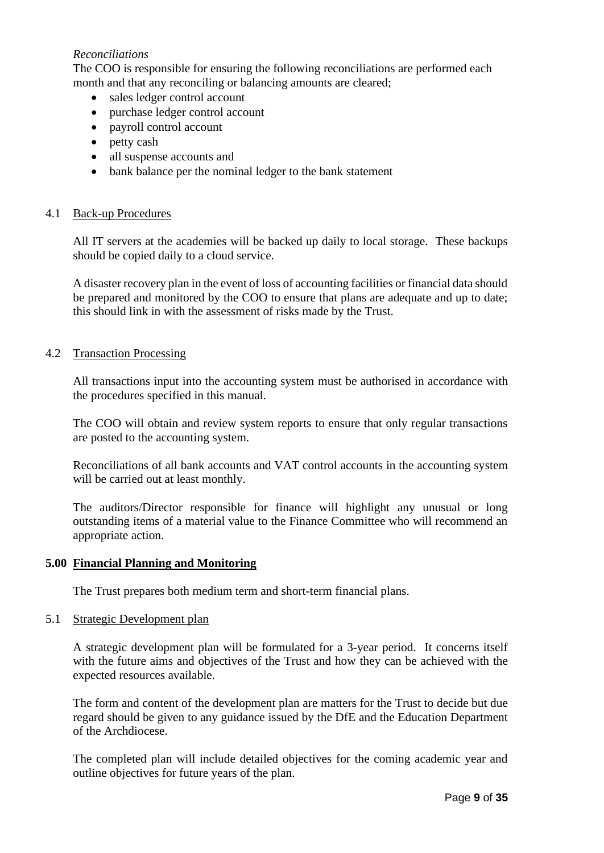## *Reconciliations*

The COO is responsible for ensuring the following reconciliations are performed each month and that any reconciling or balancing amounts are cleared;

- sales ledger control account
- purchase ledger control account
- payroll control account
- petty cash
- all suspense accounts and
- bank balance per the nominal ledger to the bank statement

## 4.1 Back-up Procedures

All IT servers at the academies will be backed up daily to local storage. These backups should be copied daily to a cloud service.

A disaster recovery plan in the event of loss of accounting facilities or financial data should be prepared and monitored by the COO to ensure that plans are adequate and up to date; this should link in with the assessment of risks made by the Trust.

## 4.2 Transaction Processing

All transactions input into the accounting system must be authorised in accordance with the procedures specified in this manual.

The COO will obtain and review system reports to ensure that only regular transactions are posted to the accounting system.

Reconciliations of all bank accounts and VAT control accounts in the accounting system will be carried out at least monthly.

The auditors/Director responsible for finance will highlight any unusual or long outstanding items of a material value to the Finance Committee who will recommend an appropriate action.

## **5.00 Financial Planning and Monitoring**

The Trust prepares both medium term and short-term financial plans.

## 5.1 Strategic Development plan

A strategic development plan will be formulated for a 3-year period. It concerns itself with the future aims and objectives of the Trust and how they can be achieved with the expected resources available.

The form and content of the development plan are matters for the Trust to decide but due regard should be given to any guidance issued by the DfE and the Education Department of the Archdiocese.

The completed plan will include detailed objectives for the coming academic year and outline objectives for future years of the plan.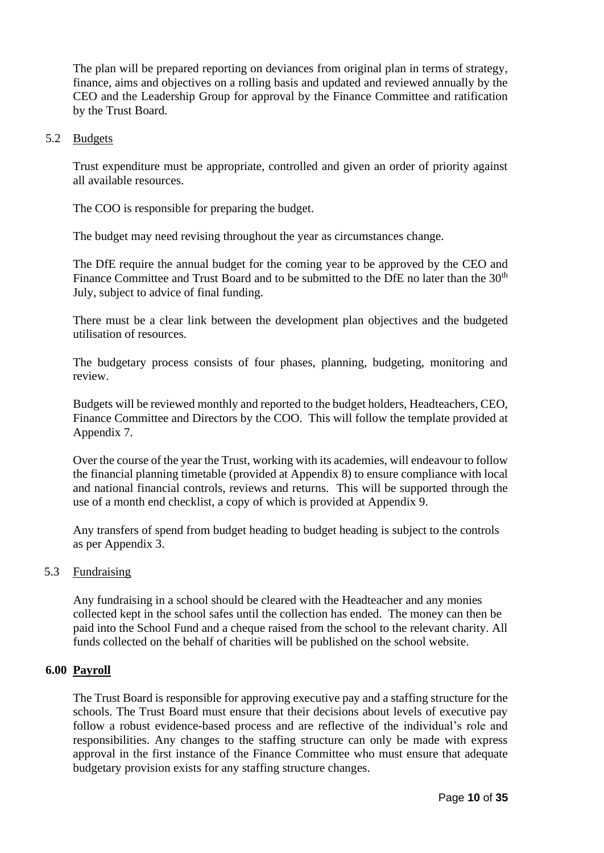The plan will be prepared reporting on deviances from original plan in terms of strategy, finance, aims and objectives on a rolling basis and updated and reviewed annually by the CEO and the Leadership Group for approval by the Finance Committee and ratification by the Trust Board.

#### 5.2 Budgets

Trust expenditure must be appropriate, controlled and given an order of priority against all available resources.

The COO is responsible for preparing the budget.

The budget may need revising throughout the year as circumstances change.

The DfE require the annual budget for the coming year to be approved by the CEO and Finance Committee and Trust Board and to be submitted to the DfE no later than the 30<sup>th</sup> July, subject to advice of final funding.

There must be a clear link between the development plan objectives and the budgeted utilisation of resources.

The budgetary process consists of four phases, planning, budgeting, monitoring and review.

Budgets will be reviewed monthly and reported to the budget holders, Headteachers, CEO, Finance Committee and Directors by the COO. This will follow the template provided at Appendix 7.

Over the course of the year the Trust, working with its academies, will endeavour to follow the financial planning timetable (provided at Appendix 8) to ensure compliance with local and national financial controls, reviews and returns. This will be supported through the use of a month end checklist, a copy of which is provided at Appendix 9.

Any transfers of spend from budget heading to budget heading is subject to the controls as per Appendix 3.

## 5.3 Fundraising

Any fundraising in a school should be cleared with the Headteacher and any monies collected kept in the school safes until the collection has ended. The money can then be paid into the School Fund and a cheque raised from the school to the relevant charity. All funds collected on the behalf of charities will be published on the school website.

## **6.00 Payroll**

The Trust Board is responsible for approving executive pay and a staffing structure for the schools. The Trust Board must ensure that their decisions about levels of executive pay follow a robust evidence-based process and are reflective of the individual's role and responsibilities. Any changes to the staffing structure can only be made with express approval in the first instance of the Finance Committee who must ensure that adequate budgetary provision exists for any staffing structure changes.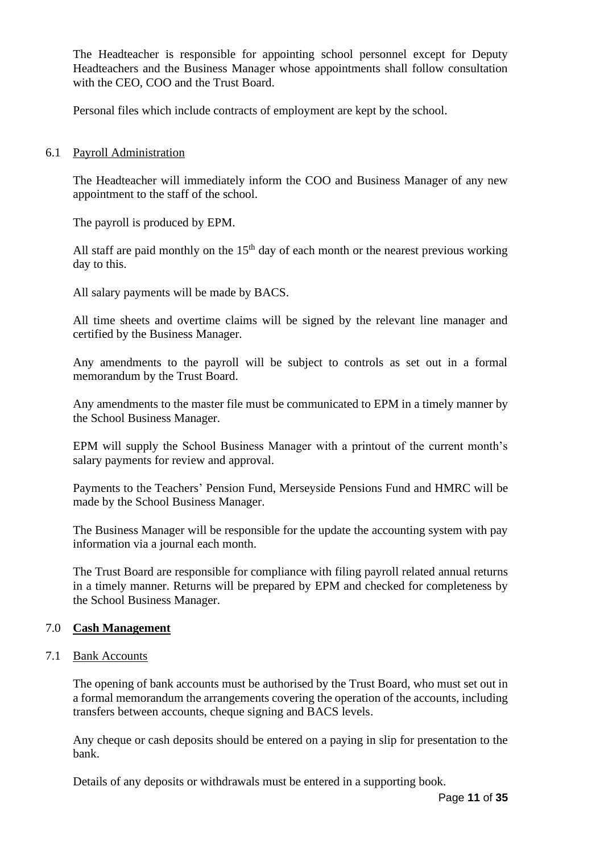The Headteacher is responsible for appointing school personnel except for Deputy Headteachers and the Business Manager whose appointments shall follow consultation with the CEO, COO and the Trust Board.

Personal files which include contracts of employment are kept by the school.

## 6.1 Payroll Administration

The Headteacher will immediately inform the COO and Business Manager of any new appointment to the staff of the school.

The payroll is produced by EPM.

All staff are paid monthly on the  $15<sup>th</sup>$  day of each month or the nearest previous working day to this.

All salary payments will be made by BACS.

All time sheets and overtime claims will be signed by the relevant line manager and certified by the Business Manager.

Any amendments to the payroll will be subject to controls as set out in a formal memorandum by the Trust Board.

Any amendments to the master file must be communicated to EPM in a timely manner by the School Business Manager.

EPM will supply the School Business Manager with a printout of the current month's salary payments for review and approval.

Payments to the Teachers' Pension Fund, Merseyside Pensions Fund and HMRC will be made by the School Business Manager.

The Business Manager will be responsible for the update the accounting system with pay information via a journal each month.

The Trust Board are responsible for compliance with filing payroll related annual returns in a timely manner. Returns will be prepared by EPM and checked for completeness by the School Business Manager.

## 7.0 **Cash Management**

7.1 Bank Accounts

The opening of bank accounts must be authorised by the Trust Board, who must set out in a formal memorandum the arrangements covering the operation of the accounts, including transfers between accounts, cheque signing and BACS levels.

Any cheque or cash deposits should be entered on a paying in slip for presentation to the bank.

Details of any deposits or withdrawals must be entered in a supporting book.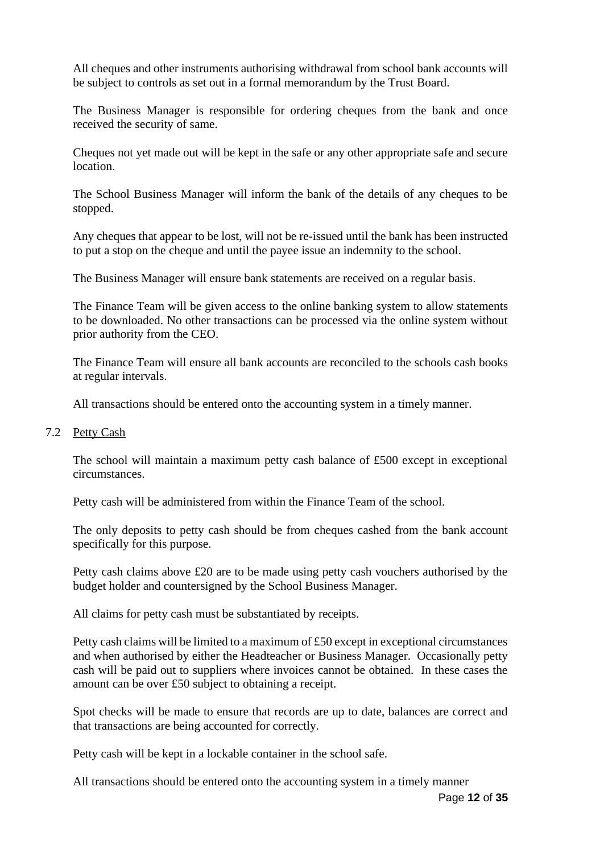All cheques and other instruments authorising withdrawal from school bank accounts will be subject to controls as set out in a formal memorandum by the Trust Board.

The Business Manager is responsible for ordering cheques from the bank and once received the security of same.

Cheques not yet made out will be kept in the safe or any other appropriate safe and secure location.

The School Business Manager will inform the bank of the details of any cheques to be stopped.

Any cheques that appear to be lost, will not be re-issued until the bank has been instructed to put a stop on the cheque and until the payee issue an indemnity to the school.

The Business Manager will ensure bank statements are received on a regular basis.

The Finance Team will be given access to the online banking system to allow statements to be downloaded. No other transactions can be processed via the online system without prior authority from the CEO.

The Finance Team will ensure all bank accounts are reconciled to the schools cash books at regular intervals.

All transactions should be entered onto the accounting system in a timely manner.

#### 7.2 Petty Cash

The school will maintain a maximum petty cash balance of £500 except in exceptional circumstances.

Petty cash will be administered from within the Finance Team of the school.

The only deposits to petty cash should be from cheques cashed from the bank account specifically for this purpose.

Petty cash claims above £20 are to be made using petty cash vouchers authorised by the budget holder and countersigned by the School Business Manager.

All claims for petty cash must be substantiated by receipts.

Petty cash claims will be limited to a maximum of £50 except in exceptional circumstances and when authorised by either the Headteacher or Business Manager. Occasionally petty cash will be paid out to suppliers where invoices cannot be obtained. In these cases the amount can be over £50 subject to obtaining a receipt.

Spot checks will be made to ensure that records are up to date, balances are correct and that transactions are being accounted for correctly.

Petty cash will be kept in a lockable container in the school safe.

All transactions should be entered onto the accounting system in a timely manner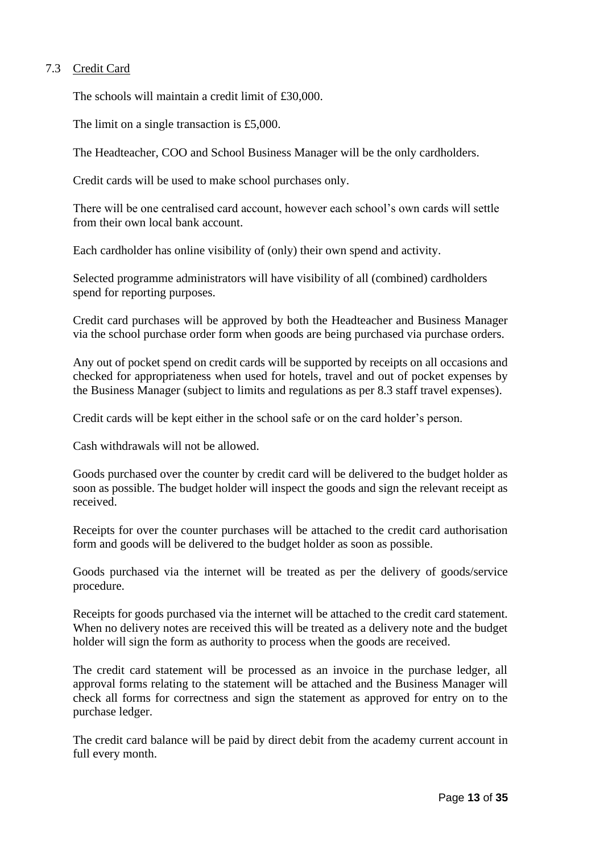## 7.3 Credit Card

The schools will maintain a credit limit of £30,000.

The limit on a single transaction is £5,000.

The Headteacher, COO and School Business Manager will be the only cardholders.

Credit cards will be used to make school purchases only.

There will be one centralised card account, however each school's own cards will settle from their own local bank account.

Each cardholder has online visibility of (only) their own spend and activity.

Selected programme administrators will have visibility of all (combined) cardholders spend for reporting purposes.

Credit card purchases will be approved by both the Headteacher and Business Manager via the school purchase order form when goods are being purchased via purchase orders.

Any out of pocket spend on credit cards will be supported by receipts on all occasions and checked for appropriateness when used for hotels, travel and out of pocket expenses by the Business Manager (subject to limits and regulations as per 8.3 staff travel expenses).

Credit cards will be kept either in the school safe or on the card holder's person.

Cash withdrawals will not be allowed.

Goods purchased over the counter by credit card will be delivered to the budget holder as soon as possible. The budget holder will inspect the goods and sign the relevant receipt as received.

Receipts for over the counter purchases will be attached to the credit card authorisation form and goods will be delivered to the budget holder as soon as possible.

Goods purchased via the internet will be treated as per the delivery of goods/service procedure.

Receipts for goods purchased via the internet will be attached to the credit card statement. When no delivery notes are received this will be treated as a delivery note and the budget holder will sign the form as authority to process when the goods are received.

The credit card statement will be processed as an invoice in the purchase ledger, all approval forms relating to the statement will be attached and the Business Manager will check all forms for correctness and sign the statement as approved for entry on to the purchase ledger.

The credit card balance will be paid by direct debit from the academy current account in full every month.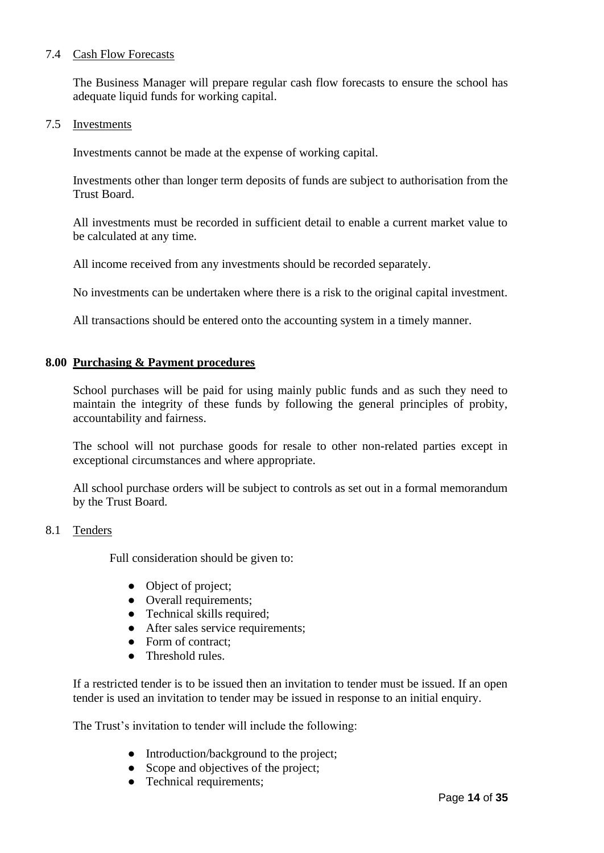## 7.4 Cash Flow Forecasts

The Business Manager will prepare regular cash flow forecasts to ensure the school has adequate liquid funds for working capital.

#### 7.5 Investments

Investments cannot be made at the expense of working capital.

Investments other than longer term deposits of funds are subject to authorisation from the Trust Board.

All investments must be recorded in sufficient detail to enable a current market value to be calculated at any time.

All income received from any investments should be recorded separately.

No investments can be undertaken where there is a risk to the original capital investment.

All transactions should be entered onto the accounting system in a timely manner.

## **8.00 Purchasing & Payment procedures**

School purchases will be paid for using mainly public funds and as such they need to maintain the integrity of these funds by following the general principles of probity, accountability and fairness.

The school will not purchase goods for resale to other non-related parties except in exceptional circumstances and where appropriate.

All school purchase orders will be subject to controls as set out in a formal memorandum by the Trust Board.

## 8.1 Tenders

Full consideration should be given to:

- Object of project;
- Overall requirements;
- Technical skills required;
- After sales service requirements;
- Form of contract:
- Threshold rules.

If a restricted tender is to be issued then an invitation to tender must be issued. If an open tender is used an invitation to tender may be issued in response to an initial enquiry.

The Trust's invitation to tender will include the following:

- Introduction/background to the project;
- Scope and objectives of the project;
- Technical requirements;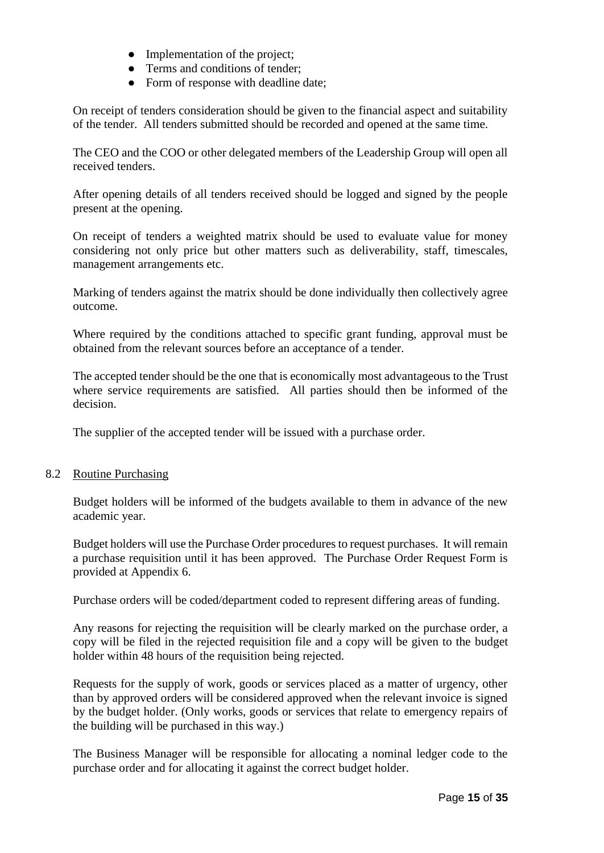- Implementation of the project;
- Terms and conditions of tender:
- Form of response with deadline date;

On receipt of tenders consideration should be given to the financial aspect and suitability of the tender. All tenders submitted should be recorded and opened at the same time.

The CEO and the COO or other delegated members of the Leadership Group will open all received tenders.

After opening details of all tenders received should be logged and signed by the people present at the opening.

On receipt of tenders a weighted matrix should be used to evaluate value for money considering not only price but other matters such as deliverability, staff, timescales, management arrangements etc.

Marking of tenders against the matrix should be done individually then collectively agree outcome.

Where required by the conditions attached to specific grant funding, approval must be obtained from the relevant sources before an acceptance of a tender.

The accepted tender should be the one that is economically most advantageous to the Trust where service requirements are satisfied. All parties should then be informed of the decision.

The supplier of the accepted tender will be issued with a purchase order.

## 8.2 Routine Purchasing

Budget holders will be informed of the budgets available to them in advance of the new academic year.

Budget holders will use the Purchase Order procedures to request purchases. It will remain a purchase requisition until it has been approved. The Purchase Order Request Form is provided at Appendix 6.

Purchase orders will be coded/department coded to represent differing areas of funding.

Any reasons for rejecting the requisition will be clearly marked on the purchase order, a copy will be filed in the rejected requisition file and a copy will be given to the budget holder within 48 hours of the requisition being rejected.

Requests for the supply of work, goods or services placed as a matter of urgency, other than by approved orders will be considered approved when the relevant invoice is signed by the budget holder. (Only works, goods or services that relate to emergency repairs of the building will be purchased in this way.)

The Business Manager will be responsible for allocating a nominal ledger code to the purchase order and for allocating it against the correct budget holder.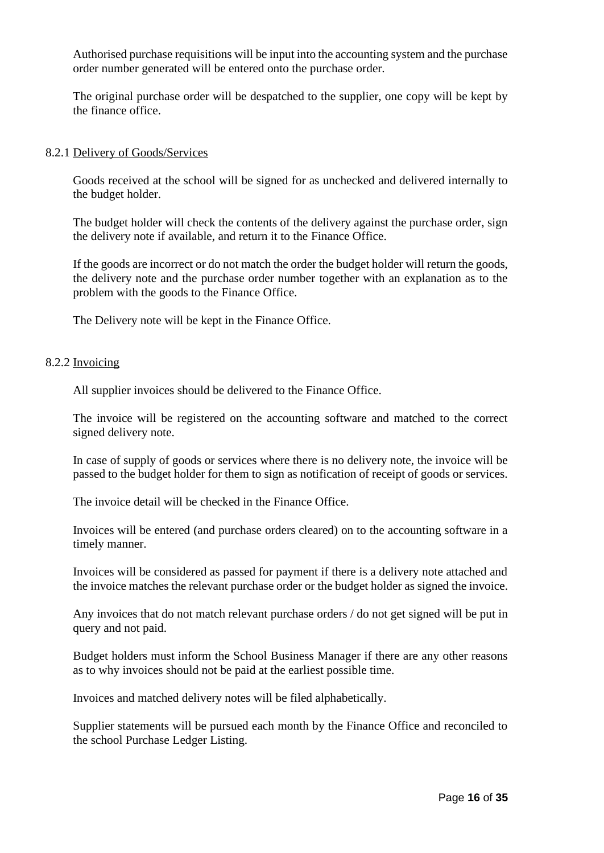Authorised purchase requisitions will be input into the accounting system and the purchase order number generated will be entered onto the purchase order.

The original purchase order will be despatched to the supplier, one copy will be kept by the finance office.

#### 8.2.1 Delivery of Goods/Services

Goods received at the school will be signed for as unchecked and delivered internally to the budget holder.

The budget holder will check the contents of the delivery against the purchase order, sign the delivery note if available, and return it to the Finance Office.

If the goods are incorrect or do not match the order the budget holder will return the goods, the delivery note and the purchase order number together with an explanation as to the problem with the goods to the Finance Office.

The Delivery note will be kept in the Finance Office.

#### 8.2.2 Invoicing

All supplier invoices should be delivered to the Finance Office.

The invoice will be registered on the accounting software and matched to the correct signed delivery note.

In case of supply of goods or services where there is no delivery note, the invoice will be passed to the budget holder for them to sign as notification of receipt of goods or services.

The invoice detail will be checked in the Finance Office.

Invoices will be entered (and purchase orders cleared) on to the accounting software in a timely manner.

Invoices will be considered as passed for payment if there is a delivery note attached and the invoice matches the relevant purchase order or the budget holder as signed the invoice.

Any invoices that do not match relevant purchase orders / do not get signed will be put in query and not paid.

Budget holders must inform the School Business Manager if there are any other reasons as to why invoices should not be paid at the earliest possible time.

Invoices and matched delivery notes will be filed alphabetically.

Supplier statements will be pursued each month by the Finance Office and reconciled to the school Purchase Ledger Listing.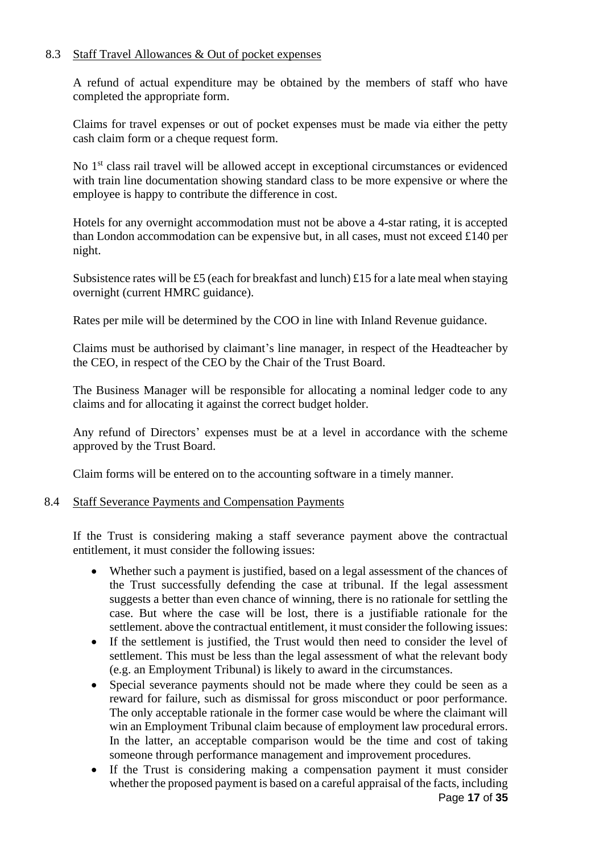## 8.3 Staff Travel Allowances & Out of pocket expenses

A refund of actual expenditure may be obtained by the members of staff who have completed the appropriate form.

Claims for travel expenses or out of pocket expenses must be made via either the petty cash claim form or a cheque request form.

No 1<sup>st</sup> class rail travel will be allowed accept in exceptional circumstances or evidenced with train line documentation showing standard class to be more expensive or where the employee is happy to contribute the difference in cost.

Hotels for any overnight accommodation must not be above a 4-star rating, it is accepted than London accommodation can be expensive but, in all cases, must not exceed £140 per night.

Subsistence rates will be £5 (each for breakfast and lunch) £15 for a late meal when staying overnight (current HMRC guidance).

Rates per mile will be determined by the COO in line with Inland Revenue guidance.

Claims must be authorised by claimant's line manager, in respect of the Headteacher by the CEO, in respect of the CEO by the Chair of the Trust Board.

The Business Manager will be responsible for allocating a nominal ledger code to any claims and for allocating it against the correct budget holder.

Any refund of Directors' expenses must be at a level in accordance with the scheme approved by the Trust Board.

Claim forms will be entered on to the accounting software in a timely manner.

## 8.4 Staff Severance Payments and Compensation Payments

If the Trust is considering making a staff severance payment above the contractual entitlement, it must consider the following issues:

- Whether such a payment is justified, based on a legal assessment of the chances of the Trust successfully defending the case at tribunal. If the legal assessment suggests a better than even chance of winning, there is no rationale for settling the case. But where the case will be lost, there is a justifiable rationale for the settlement. above the contractual entitlement, it must consider the following issues:
- If the settlement is justified, the Trust would then need to consider the level of settlement. This must be less than the legal assessment of what the relevant body (e.g. an Employment Tribunal) is likely to award in the circumstances.
- Special severance payments should not be made where they could be seen as a reward for failure, such as dismissal for gross misconduct or poor performance. The only acceptable rationale in the former case would be where the claimant will win an Employment Tribunal claim because of employment law procedural errors. In the latter, an acceptable comparison would be the time and cost of taking someone through performance management and improvement procedures.
- Page **17** of **35** • If the Trust is considering making a compensation payment it must consider whether the proposed payment is based on a careful appraisal of the facts, including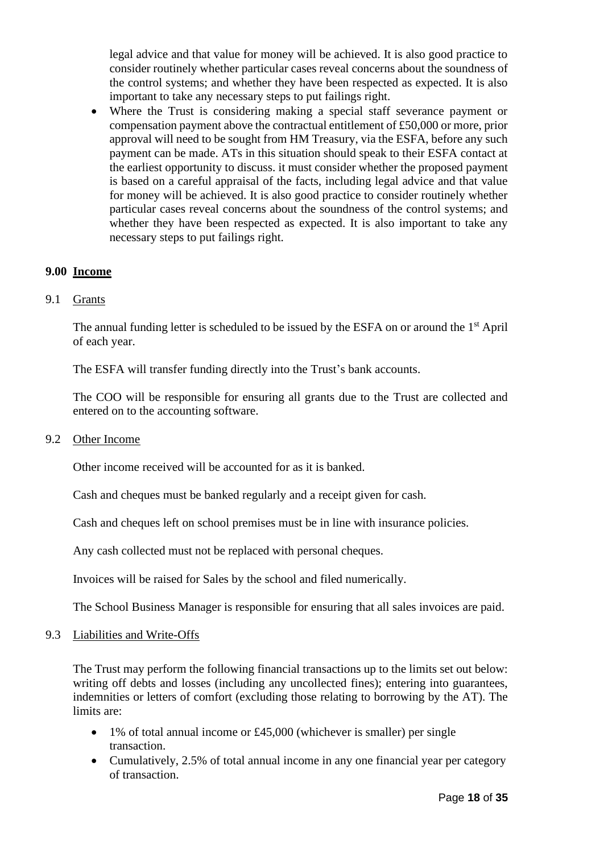legal advice and that value for money will be achieved. It is also good practice to consider routinely whether particular cases reveal concerns about the soundness of the control systems; and whether they have been respected as expected. It is also important to take any necessary steps to put failings right.

• Where the Trust is considering making a special staff severance payment or compensation payment above the contractual entitlement of £50,000 or more, prior approval will need to be sought from HM Treasury, via the ESFA, before any such payment can be made. ATs in this situation should speak to their ESFA contact at the earliest opportunity to discuss. it must consider whether the proposed payment is based on a careful appraisal of the facts, including legal advice and that value for money will be achieved. It is also good practice to consider routinely whether particular cases reveal concerns about the soundness of the control systems; and whether they have been respected as expected. It is also important to take any necessary steps to put failings right.

## **9.00 Income**

9.1 Grants

The annual funding letter is scheduled to be issued by the ESFA on or around the 1<sup>st</sup> April of each year.

The ESFA will transfer funding directly into the Trust's bank accounts.

The COO will be responsible for ensuring all grants due to the Trust are collected and entered on to the accounting software.

9.2 Other Income

Other income received will be accounted for as it is banked.

Cash and cheques must be banked regularly and a receipt given for cash.

Cash and cheques left on school premises must be in line with insurance policies.

Any cash collected must not be replaced with personal cheques.

Invoices will be raised for Sales by the school and filed numerically.

The School Business Manager is responsible for ensuring that all sales invoices are paid.

## 9.3 Liabilities and Write-Offs

The Trust may perform the following financial transactions up to the limits set out below: writing off debts and losses (including any uncollected fines); entering into guarantees, indemnities or letters of comfort (excluding those relating to borrowing by the AT). The limits are:

- 1% of total annual income or £45,000 (whichever is smaller) per single transaction.
- Cumulatively, 2.5% of total annual income in any one financial year per category of transaction.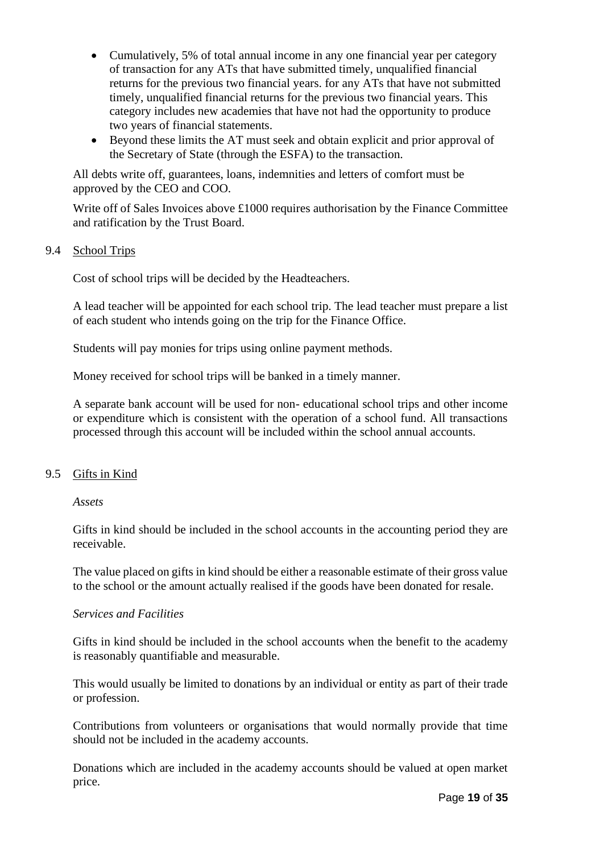- Cumulatively, 5% of total annual income in any one financial year per category of transaction for any ATs that have submitted timely, unqualified financial returns for the previous two financial years. for any ATs that have not submitted timely, unqualified financial returns for the previous two financial years. This category includes new academies that have not had the opportunity to produce two years of financial statements.
- Beyond these limits the AT must seek and obtain explicit and prior approval of the Secretary of State (through the ESFA) to the transaction.

All debts write off, guarantees, loans, indemnities and letters of comfort must be approved by the CEO and COO.

Write off of Sales Invoices above £1000 requires authorisation by the Finance Committee and ratification by the Trust Board.

## 9.4 School Trips

Cost of school trips will be decided by the Headteachers.

A lead teacher will be appointed for each school trip. The lead teacher must prepare a list of each student who intends going on the trip for the Finance Office.

Students will pay monies for trips using online payment methods.

Money received for school trips will be banked in a timely manner.

A separate bank account will be used for non- educational school trips and other income or expenditure which is consistent with the operation of a school fund. All transactions processed through this account will be included within the school annual accounts.

## 9.5 Gifts in Kind

## *Assets*

Gifts in kind should be included in the school accounts in the accounting period they are receivable.

The value placed on gifts in kind should be either a reasonable estimate of their gross value to the school or the amount actually realised if the goods have been donated for resale.

## *Services and Facilities*

Gifts in kind should be included in the school accounts when the benefit to the academy is reasonably quantifiable and measurable.

This would usually be limited to donations by an individual or entity as part of their trade or profession.

Contributions from volunteers or organisations that would normally provide that time should not be included in the academy accounts.

Donations which are included in the academy accounts should be valued at open market price.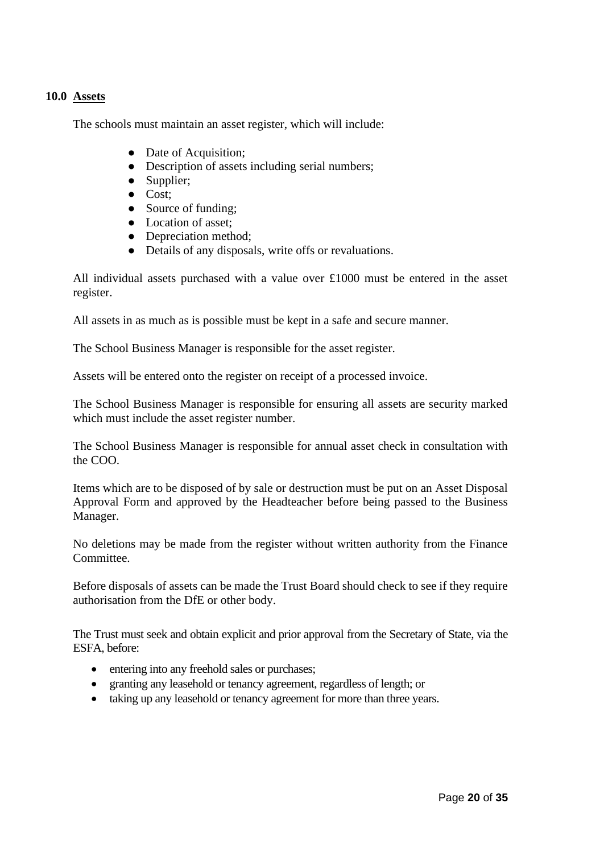## **10.0 Assets**

The schools must maintain an asset register, which will include:

- Date of Acquisition;
- Description of assets including serial numbers;
- Supplier;
- Cost;
- Source of funding;
- Location of asset:
- Depreciation method:
- Details of any disposals, write offs or revaluations.

All individual assets purchased with a value over £1000 must be entered in the asset register.

All assets in as much as is possible must be kept in a safe and secure manner.

The School Business Manager is responsible for the asset register.

Assets will be entered onto the register on receipt of a processed invoice.

The School Business Manager is responsible for ensuring all assets are security marked which must include the asset register number.

The School Business Manager is responsible for annual asset check in consultation with the COO.

Items which are to be disposed of by sale or destruction must be put on an Asset Disposal Approval Form and approved by the Headteacher before being passed to the Business Manager.

No deletions may be made from the register without written authority from the Finance Committee.

Before disposals of assets can be made the Trust Board should check to see if they require authorisation from the DfE or other body.

The Trust must seek and obtain explicit and prior approval from the Secretary of State, via the ESFA, before:

- entering into any freehold sales or purchases;
- granting any leasehold or tenancy agreement, regardless of length; or
- taking up any leasehold or tenancy agreement for more than three years.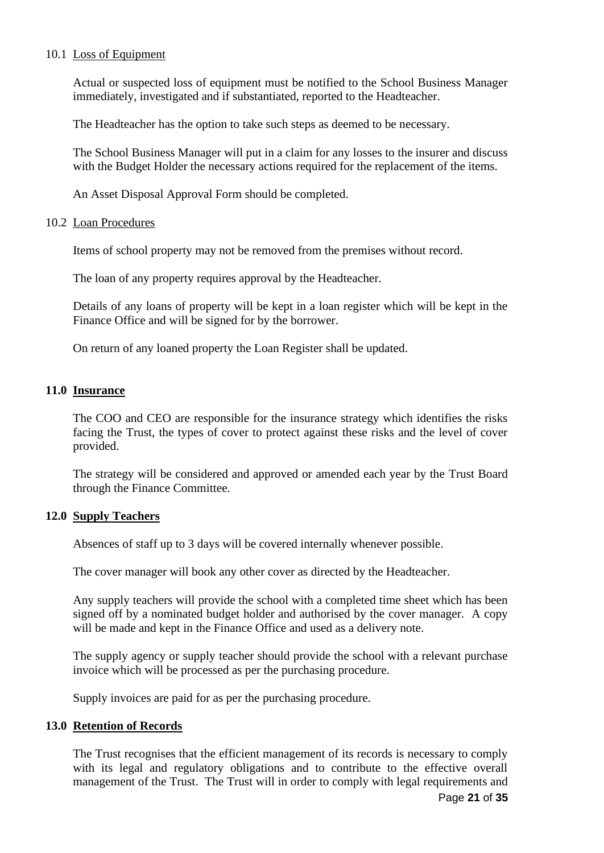## 10.1 Loss of Equipment

Actual or suspected loss of equipment must be notified to the School Business Manager immediately, investigated and if substantiated, reported to the Headteacher.

The Headteacher has the option to take such steps as deemed to be necessary.

The School Business Manager will put in a claim for any losses to the insurer and discuss with the Budget Holder the necessary actions required for the replacement of the items.

An Asset Disposal Approval Form should be completed.

## 10.2 Loan Procedures

Items of school property may not be removed from the premises without record.

The loan of any property requires approval by the Headteacher.

Details of any loans of property will be kept in a loan register which will be kept in the Finance Office and will be signed for by the borrower.

On return of any loaned property the Loan Register shall be updated.

## **11.0 Insurance**

The COO and CEO are responsible for the insurance strategy which identifies the risks facing the Trust, the types of cover to protect against these risks and the level of cover provided.

The strategy will be considered and approved or amended each year by the Trust Board through the Finance Committee.

## **12.0 Supply Teachers**

Absences of staff up to 3 days will be covered internally whenever possible.

The cover manager will book any other cover as directed by the Headteacher.

Any supply teachers will provide the school with a completed time sheet which has been signed off by a nominated budget holder and authorised by the cover manager. A copy will be made and kept in the Finance Office and used as a delivery note.

The supply agency or supply teacher should provide the school with a relevant purchase invoice which will be processed as per the purchasing procedure.

Supply invoices are paid for as per the purchasing procedure.

## **13.0 Retention of Records**

The Trust recognises that the efficient management of its records is necessary to comply with its legal and regulatory obligations and to contribute to the effective overall management of the Trust. The Trust will in order to comply with legal requirements and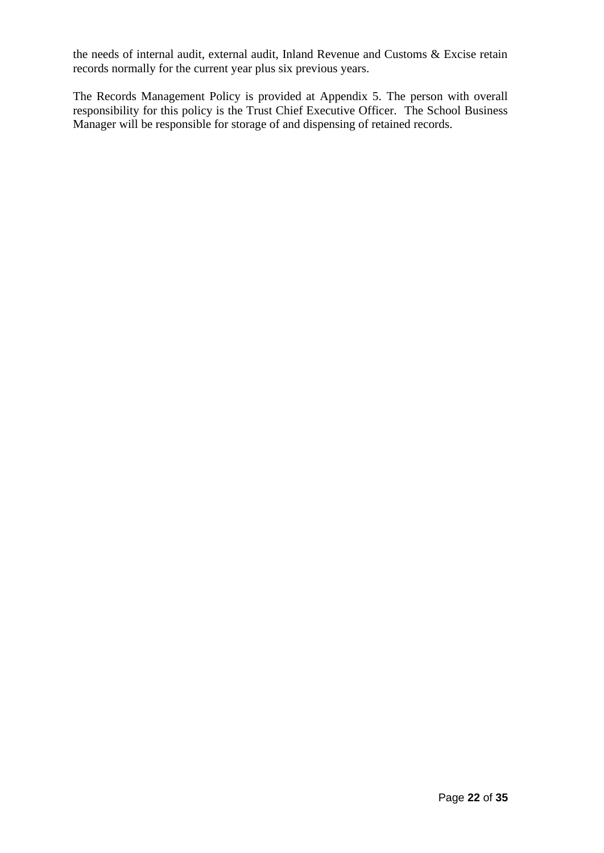the needs of internal audit, external audit, Inland Revenue and Customs & Excise retain records normally for the current year plus six previous years.

The Records Management Policy is provided at Appendix 5. The person with overall responsibility for this policy is the Trust Chief Executive Officer. The School Business Manager will be responsible for storage of and dispensing of retained records.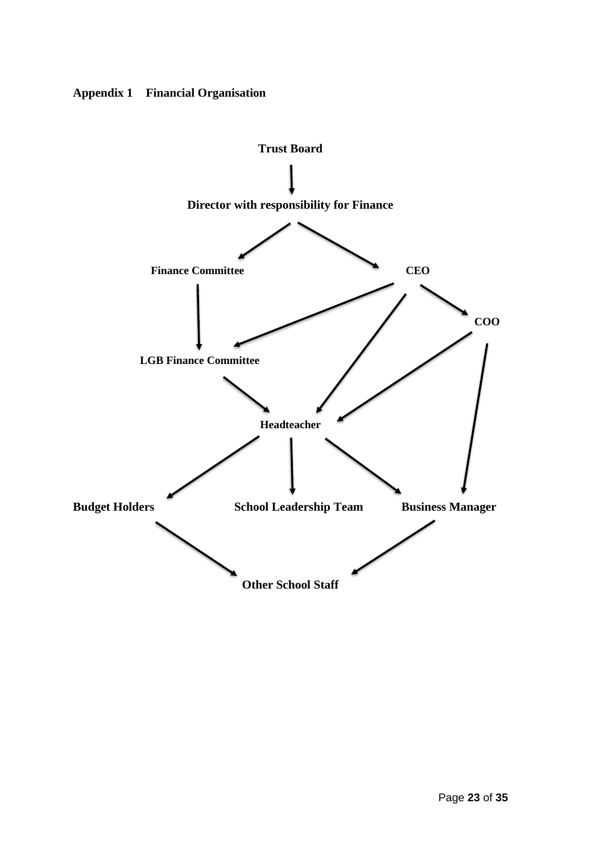

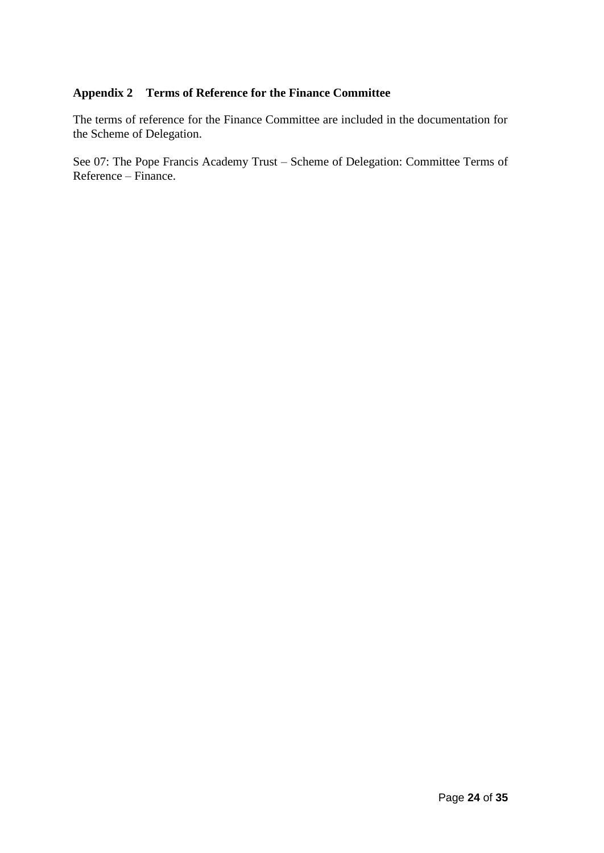# **Appendix 2 Terms of Reference for the Finance Committee**

The terms of reference for the Finance Committee are included in the documentation for the Scheme of Delegation.

See 07: The Pope Francis Academy Trust – Scheme of Delegation: Committee Terms of Reference – Finance.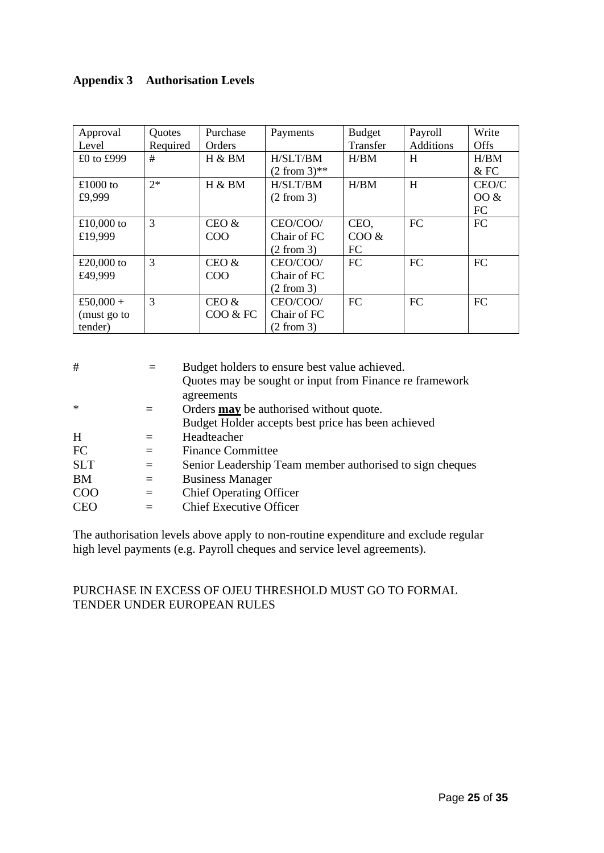## **Appendix 3 Authorisation Levels**

| Approval    | Quotes   | Purchase         | Payments        | <b>Budget</b> | Payroll          | Write     |
|-------------|----------|------------------|-----------------|---------------|------------------|-----------|
| Level       | Required | <b>Orders</b>    |                 | Transfer      | <b>Additions</b> | Offs      |
| £0 to £999  | #        | H & BM           | H/SLT/BM        | H/BM          | H                | H/BM      |
|             |          |                  | $(2 from 3)$ ** |               |                  | $&$ FC    |
| £1000 to    | $2*$     | H & B M          | H/SLT/BM        | H/BM          | H                | CEO/C     |
| £9,999      |          |                  | (2 from 3)      |               |                  | $00 \&$   |
|             |          |                  |                 |               |                  | FC        |
| £10,000 to  | 3        | CEO &            | CEO/COO/        | CEO,          | <b>FC</b>        | <b>FC</b> |
| £19,999     |          | COO              | Chair of FC     | COO &         |                  |           |
|             |          |                  | (2 from 3)      | FC            |                  |           |
| £20,000 to  | 3        | CEO &            | CEO/COO/        | FC            | <b>FC</b>        | <b>FC</b> |
| £49,999     |          | C <sub>O</sub> O | Chair of FC     |               |                  |           |
|             |          |                  | (2 from 3)      |               |                  |           |
| £50,000 +   | 3        | CEO &            | CEO/COO/        | FC            | <b>FC</b>        | <b>FC</b> |
| (must go to |          | COO & FC         | Chair of FC     |               |                  |           |
| tender)     |          |                  | (2 from 3)      |               |                  |           |

| #          | $\qquad \qquad =$ | Budget holders to ensure best value achieved.<br>Quotes may be sought or input from Finance reframework |
|------------|-------------------|---------------------------------------------------------------------------------------------------------|
|            |                   | agreements                                                                                              |
| $\ast$     | $\equiv$          | Orders <b>may</b> be authorised without quote.                                                          |
|            |                   | Budget Holder accepts best price has been achieved                                                      |
| H          | $=$               | Headteacher                                                                                             |
| FC         | $=$               | <b>Finance Committee</b>                                                                                |
| <b>SLT</b> | $\equiv$          | Senior Leadership Team member authorised to sign cheques                                                |
| <b>BM</b>  | $=$               | <b>Business Manager</b>                                                                                 |
| <b>COO</b> | $=$               | <b>Chief Operating Officer</b>                                                                          |
| <b>CEO</b> |                   | <b>Chief Executive Officer</b>                                                                          |
|            |                   |                                                                                                         |

The authorisation levels above apply to non-routine expenditure and exclude regular high level payments (e.g. Payroll cheques and service level agreements).

## PURCHASE IN EXCESS OF OJEU THRESHOLD MUST GO TO FORMAL TENDER UNDER EUROPEAN RULES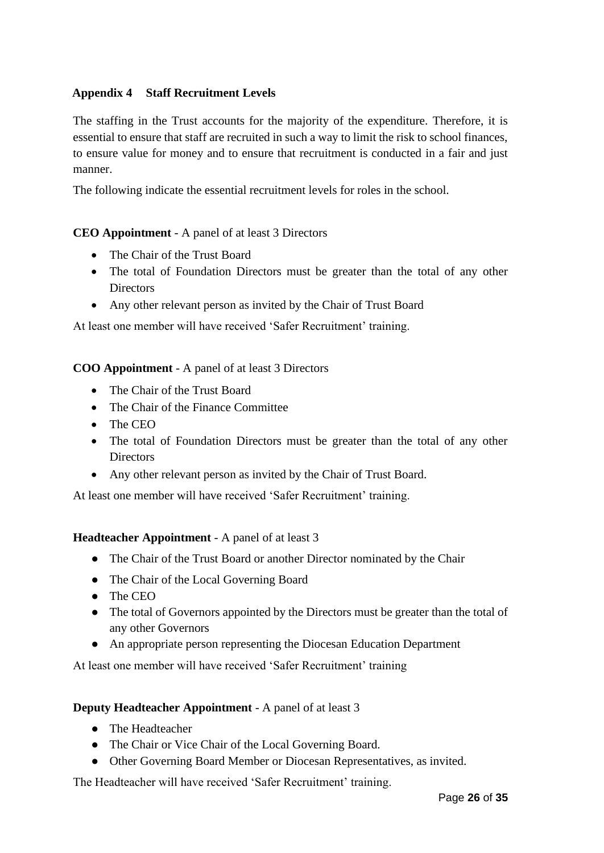## **Appendix 4 Staff Recruitment Levels**

The staffing in the Trust accounts for the majority of the expenditure. Therefore, it is essential to ensure that staff are recruited in such a way to limit the risk to school finances, to ensure value for money and to ensure that recruitment is conducted in a fair and just manner.

The following indicate the essential recruitment levels for roles in the school.

## **CEO Appointment** - A panel of at least 3 Directors

- The Chair of the Trust Board
- The total of Foundation Directors must be greater than the total of any other **Directors**
- Any other relevant person as invited by the Chair of Trust Board

At least one member will have received 'Safer Recruitment' training.

## **COO Appointment** - A panel of at least 3 Directors

- The Chair of the Trust Board
- The Chair of the Finance Committee
- The CEO
- The total of Foundation Directors must be greater than the total of any other **Directors**
- Any other relevant person as invited by the Chair of Trust Board.

At least one member will have received 'Safer Recruitment' training.

## **Headteacher Appointment** - A panel of at least 3

- The Chair of the Trust Board or another Director nominated by the Chair
- The Chair of the Local Governing Board
- The CEO
- The total of Governors appointed by the Directors must be greater than the total of any other Governors
- An appropriate person representing the Diocesan Education Department

At least one member will have received 'Safer Recruitment' training

## **Deputy Headteacher Appointment** - A panel of at least 3

- The Headteacher
- The Chair or Vice Chair of the Local Governing Board.
- Other Governing Board Member or Diocesan Representatives, as invited.

The Headteacher will have received 'Safer Recruitment' training.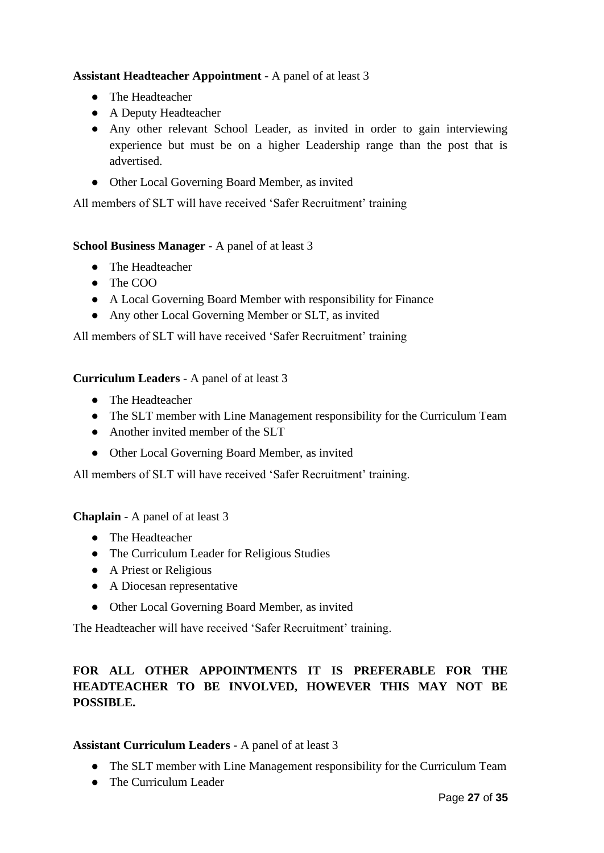## **Assistant Headteacher Appointment** - A panel of at least 3

- The Headteacher
- A Deputy Headteacher
- Any other relevant School Leader, as invited in order to gain interviewing experience but must be on a higher Leadership range than the post that is advertised.
- Other Local Governing Board Member, as invited

All members of SLT will have received 'Safer Recruitment' training

## **School Business Manager** - A panel of at least 3

- The Headteacher
- The COO
- A Local Governing Board Member with responsibility for Finance
- Any other Local Governing Member or SLT, as invited

All members of SLT will have received 'Safer Recruitment' training

## **Curriculum Leaders** - A panel of at least 3

- The Headteacher
- The SLT member with Line Management responsibility for the Curriculum Team
- Another invited member of the SLT
- Other Local Governing Board Member, as invited

All members of SLT will have received 'Safer Recruitment' training.

## **Chaplain** - A panel of at least 3

- The Headteacher
- The Curriculum Leader for Religious Studies
- A Priest or Religious
- A Diocesan representative
- Other Local Governing Board Member, as invited

The Headteacher will have received 'Safer Recruitment' training.

## **FOR ALL OTHER APPOINTMENTS IT IS PREFERABLE FOR THE HEADTEACHER TO BE INVOLVED, HOWEVER THIS MAY NOT BE POSSIBLE.**

## **Assistant Curriculum Leaders** - A panel of at least 3

- The SLT member with Line Management responsibility for the Curriculum Team
- The Curriculum Leader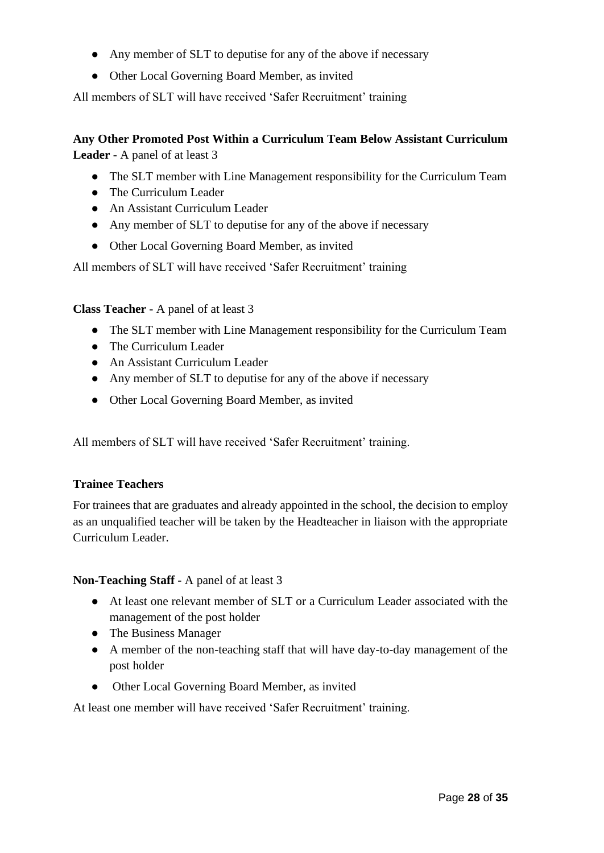- Any member of SLT to deputise for any of the above if necessary
- Other Local Governing Board Member, as invited

All members of SLT will have received 'Safer Recruitment' training

## **Any Other Promoted Post Within a Curriculum Team Below Assistant Curriculum Leader** - A panel of at least 3

- The SLT member with Line Management responsibility for the Curriculum Team
- The Curriculum Leader
- An Assistant Curriculum Leader
- Any member of SLT to deputise for any of the above if necessary
- Other Local Governing Board Member, as invited

All members of SLT will have received 'Safer Recruitment' training

**Class Teacher** - A panel of at least 3

- The SLT member with Line Management responsibility for the Curriculum Team
- The Curriculum Leader
- An Assistant Curriculum Leader
- Any member of SLT to deputise for any of the above if necessary
- Other Local Governing Board Member, as invited

All members of SLT will have received 'Safer Recruitment' training.

## **Trainee Teachers**

For trainees that are graduates and already appointed in the school, the decision to employ as an unqualified teacher will be taken by the Headteacher in liaison with the appropriate Curriculum Leader.

## **Non-Teaching Staff** - A panel of at least 3

- At least one relevant member of SLT or a Curriculum Leader associated with the management of the post holder
- The Business Manager
- A member of the non-teaching staff that will have day-to-day management of the post holder
- Other Local Governing Board Member, as invited

At least one member will have received 'Safer Recruitment' training.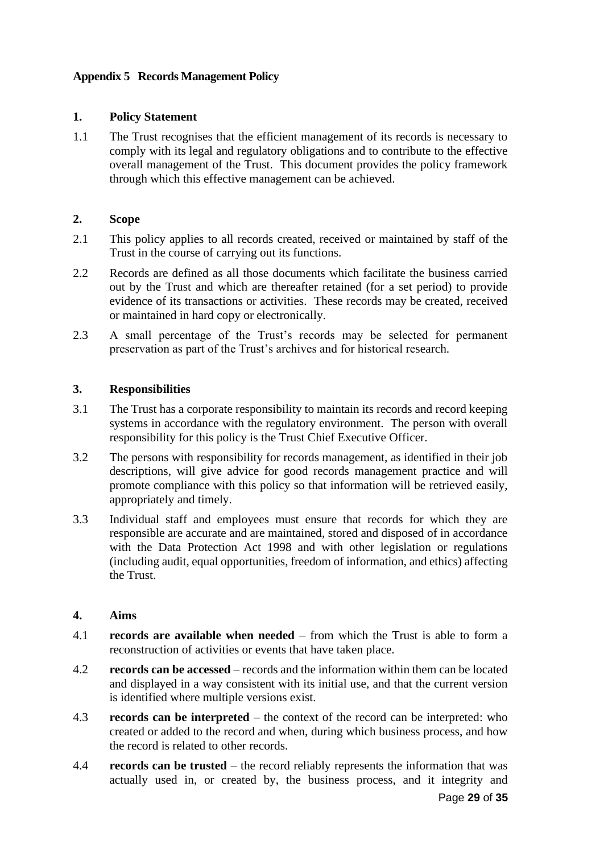## **Appendix 5 Records Management Policy**

## **1. Policy Statement**

1.1 The Trust recognises that the efficient management of its records is necessary to comply with its legal and regulatory obligations and to contribute to the effective overall management of the Trust. This document provides the policy framework through which this effective management can be achieved.

## **2. Scope**

- 2.1 This policy applies to all records created, received or maintained by staff of the Trust in the course of carrying out its functions.
- 2.2 Records are defined as all those documents which facilitate the business carried out by the Trust and which are thereafter retained (for a set period) to provide evidence of its transactions or activities. These records may be created, received or maintained in hard copy or electronically.
- 2.3 A small percentage of the Trust's records may be selected for permanent preservation as part of the Trust's archives and for historical research.

#### **3. Responsibilities**

- 3.1 The Trust has a corporate responsibility to maintain its records and record keeping systems in accordance with the regulatory environment. The person with overall responsibility for this policy is the Trust Chief Executive Officer.
- 3.2 The persons with responsibility for records management, as identified in their job descriptions, will give advice for good records management practice and will promote compliance with this policy so that information will be retrieved easily, appropriately and timely.
- 3.3 Individual staff and employees must ensure that records for which they are responsible are accurate and are maintained, stored and disposed of in accordance with the Data Protection Act 1998 and with other legislation or regulations (including audit, equal opportunities, freedom of information, and ethics) affecting the Trust.

#### **4. Aims**

- 4.1 **records are available when needed** from which the Trust is able to form a reconstruction of activities or events that have taken place.
- 4.2 **records can be accessed** records and the information within them can be located and displayed in a way consistent with its initial use, and that the current version is identified where multiple versions exist.
- 4.3 **records can be interpreted**  the context of the record can be interpreted: who created or added to the record and when, during which business process, and how the record is related to other records.
- 4.4 **records can be trusted** the record reliably represents the information that was actually used in, or created by, the business process, and it integrity and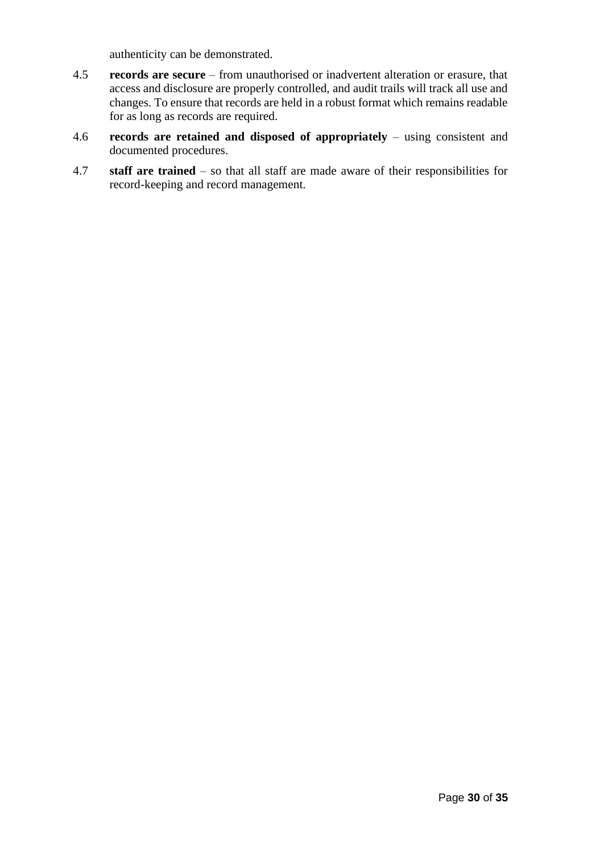authenticity can be demonstrated.

- 4.5 **records are secure** from unauthorised or inadvertent alteration or erasure, that access and disclosure are properly controlled, and audit trails will track all use and changes. To ensure that records are held in a robust format which remains readable for as long as records are required.
- 4.6 **records are retained and disposed of appropriately** using consistent and documented procedures.
- 4.7 **staff are trained** so that all staff are made aware of their responsibilities for record-keeping and record management.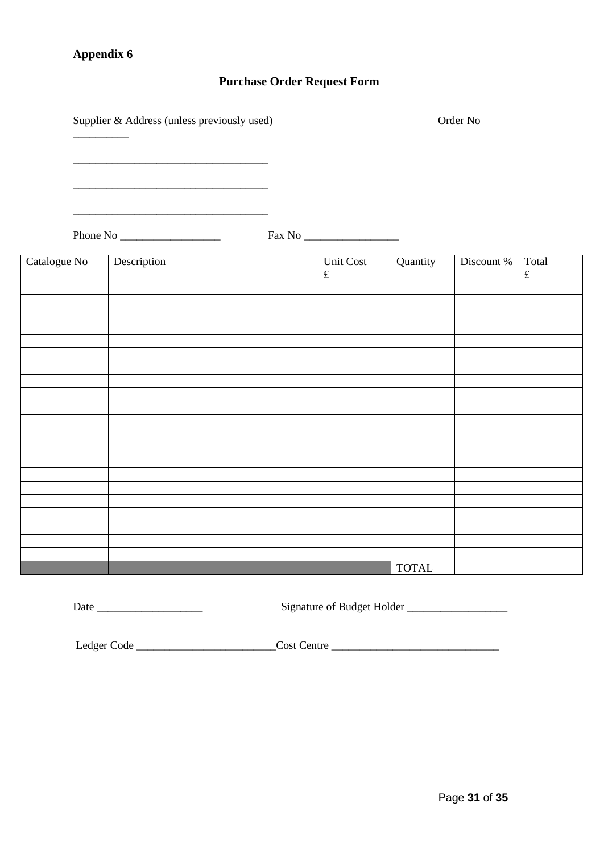## **Appendix 6**

\_\_\_\_\_\_\_\_\_\_

## **Purchase Order Request Form**

Supplier & Address (unless previously used) Order No

\_\_\_\_\_\_\_\_\_\_\_\_\_\_\_\_\_\_\_\_\_\_\_\_\_\_\_\_\_\_\_\_\_\_\_

\_\_\_\_\_\_\_\_\_\_\_\_\_\_\_\_\_\_\_\_\_\_\_\_\_\_\_\_\_\_\_\_\_\_\_

Phone No \_\_\_\_\_\_\_\_\_\_\_\_\_\_\_\_\_\_ Fax No \_\_\_\_\_\_\_\_\_\_\_\_\_\_\_\_\_

| Catalogue No | Description | Unit Cost | Quantity     | Discount % | Total     |
|--------------|-------------|-----------|--------------|------------|-----------|
|              |             | $\pounds$ |              |            | $\pounds$ |
|              |             |           |              |            |           |
|              |             |           |              |            |           |
|              |             |           |              |            |           |
|              |             |           |              |            |           |
|              |             |           |              |            |           |
|              |             |           |              |            |           |
|              |             |           |              |            |           |
|              |             |           |              |            |           |
|              |             |           |              |            |           |
|              |             |           |              |            |           |
|              |             |           |              |            |           |
|              |             |           |              |            |           |
|              |             |           |              |            |           |
|              |             |           |              |            |           |
|              |             |           |              |            |           |
|              |             |           |              |            |           |
|              |             |           |              |            |           |
|              |             |           |              |            |           |
|              |             |           |              |            |           |
|              |             |           |              |            |           |
|              |             |           |              |            |           |
|              |             |           | <b>TOTAL</b> |            |           |

Date \_\_\_\_\_\_\_\_\_\_\_\_\_\_\_\_\_\_\_ Signature of Budget Holder \_\_\_\_\_\_\_\_\_\_\_\_\_\_\_\_\_\_

Ledger Code \_\_\_\_\_\_\_\_\_\_\_\_\_\_\_\_\_\_\_\_\_\_\_\_\_\_\_\_\_\_Cost Centre \_\_\_\_\_\_\_\_\_\_\_\_\_\_\_\_\_\_\_\_\_\_\_\_\_\_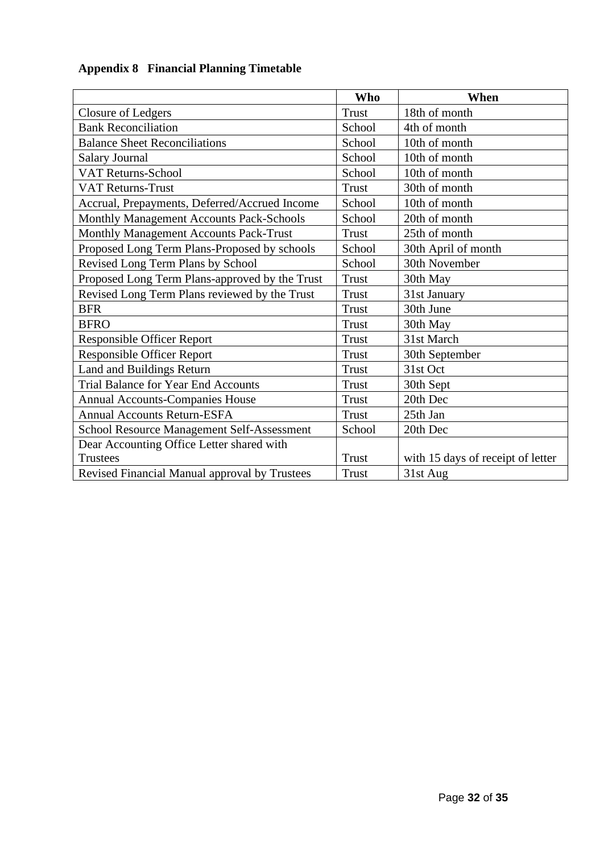| <b>Appendix 8 Financial Planning Timetable</b> |  |  |
|------------------------------------------------|--|--|
|                                                |  |  |

|                                                   | <b>Who</b>   | When                              |
|---------------------------------------------------|--------------|-----------------------------------|
| <b>Closure of Ledgers</b>                         | <b>Trust</b> | 18th of month                     |
| <b>Bank Reconciliation</b>                        | School       | 4th of month                      |
| <b>Balance Sheet Reconciliations</b>              | School       | 10th of month                     |
| <b>Salary Journal</b>                             | School       | 10th of month                     |
| <b>VAT Returns-School</b>                         | School       | 10th of month                     |
| <b>VAT Returns-Trust</b>                          | <b>Trust</b> | 30th of month                     |
| Accrual, Prepayments, Deferred/Accrued Income     | School       | 10th of month                     |
| Monthly Management Accounts Pack-Schools          | School       | 20th of month                     |
| Monthly Management Accounts Pack-Trust            | <b>Trust</b> | 25th of month                     |
| Proposed Long Term Plans-Proposed by schools      | School       | 30th April of month               |
| Revised Long Term Plans by School                 | School       | 30th November                     |
| Proposed Long Term Plans-approved by the Trust    | <b>Trust</b> | 30th May                          |
| Revised Long Term Plans reviewed by the Trust     | Trust        | 31st January                      |
| <b>BFR</b>                                        | <b>Trust</b> | 30th June                         |
| <b>BFRO</b>                                       | <b>Trust</b> | 30th May                          |
| <b>Responsible Officer Report</b>                 | <b>Trust</b> | 31st March                        |
| <b>Responsible Officer Report</b>                 | <b>Trust</b> | 30th September                    |
| Land and Buildings Return                         | Trust        | 31st Oct                          |
| <b>Trial Balance for Year End Accounts</b>        | <b>Trust</b> | 30th Sept                         |
| <b>Annual Accounts-Companies House</b>            | <b>Trust</b> | 20th Dec                          |
| <b>Annual Accounts Return-ESFA</b>                | <b>Trust</b> | 25th Jan                          |
| <b>School Resource Management Self-Assessment</b> | School       | 20th Dec                          |
| Dear Accounting Office Letter shared with         |              |                                   |
| <b>Trustees</b>                                   | <b>Trust</b> | with 15 days of receipt of letter |
| Revised Financial Manual approval by Trustees     | Trust        | 31st Aug                          |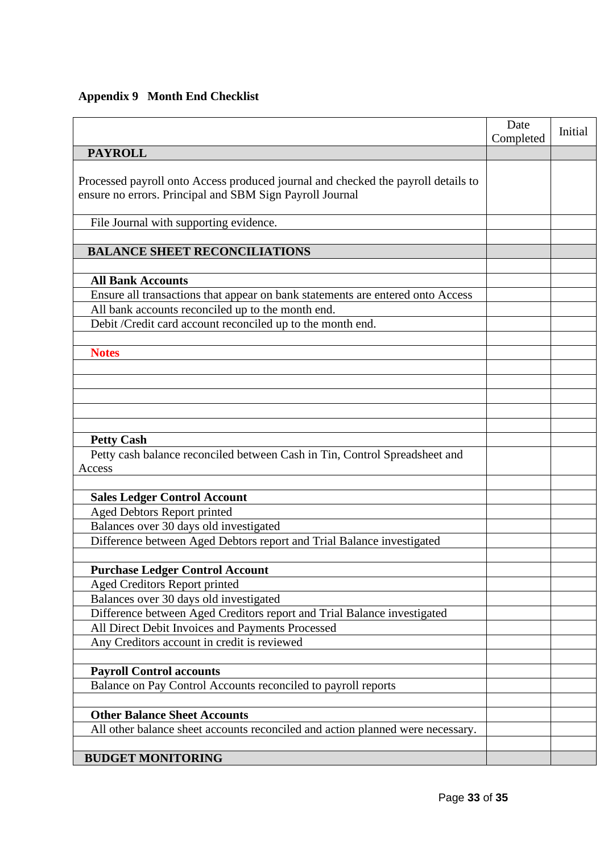# **Appendix 9 Month End Checklist**

|                                                                                                                                               | Date<br>Completed | Initial |
|-----------------------------------------------------------------------------------------------------------------------------------------------|-------------------|---------|
| <b>PAYROLL</b>                                                                                                                                |                   |         |
| Processed payroll onto Access produced journal and checked the payroll details to<br>ensure no errors. Principal and SBM Sign Payroll Journal |                   |         |
| File Journal with supporting evidence.                                                                                                        |                   |         |
|                                                                                                                                               |                   |         |
| <b>BALANCE SHEET RECONCILIATIONS</b>                                                                                                          |                   |         |
|                                                                                                                                               |                   |         |
| <b>All Bank Accounts</b>                                                                                                                      |                   |         |
| Ensure all transactions that appear on bank statements are entered onto Access                                                                |                   |         |
| All bank accounts reconciled up to the month end.                                                                                             |                   |         |
| Debit /Credit card account reconciled up to the month end.                                                                                    |                   |         |
|                                                                                                                                               |                   |         |
| <b>Notes</b>                                                                                                                                  |                   |         |
|                                                                                                                                               |                   |         |
|                                                                                                                                               |                   |         |
|                                                                                                                                               |                   |         |
|                                                                                                                                               |                   |         |
| <b>Petty Cash</b>                                                                                                                             |                   |         |
| Petty cash balance reconciled between Cash in Tin, Control Spreadsheet and                                                                    |                   |         |
| Access                                                                                                                                        |                   |         |
|                                                                                                                                               |                   |         |
| <b>Sales Ledger Control Account</b>                                                                                                           |                   |         |
| Aged Debtors Report printed                                                                                                                   |                   |         |
| Balances over 30 days old investigated                                                                                                        |                   |         |
| Difference between Aged Debtors report and Trial Balance investigated                                                                         |                   |         |
|                                                                                                                                               |                   |         |
| <b>Purchase Ledger Control Account</b>                                                                                                        |                   |         |
| Aged Creditors Report printed                                                                                                                 |                   |         |
| Balances over 30 days old investigated                                                                                                        |                   |         |
| Difference between Aged Creditors report and Trial Balance investigated                                                                       |                   |         |
| All Direct Debit Invoices and Payments Processed                                                                                              |                   |         |
| Any Creditors account in credit is reviewed                                                                                                   |                   |         |
|                                                                                                                                               |                   |         |
| <b>Payroll Control accounts</b>                                                                                                               |                   |         |
| Balance on Pay Control Accounts reconciled to payroll reports                                                                                 |                   |         |
|                                                                                                                                               |                   |         |
| <b>Other Balance Sheet Accounts</b>                                                                                                           |                   |         |
| All other balance sheet accounts reconciled and action planned were necessary.                                                                |                   |         |
| <b>BUDGET MONITORING</b>                                                                                                                      |                   |         |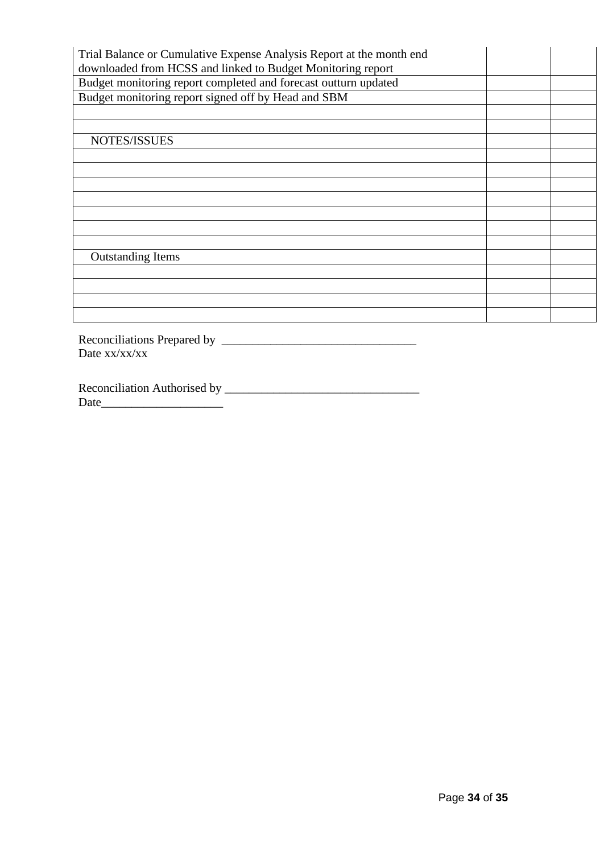| Trial Balance or Cumulative Expense Analysis Report at the month end<br>downloaded from HCSS and linked to Budget Monitoring report |  |
|-------------------------------------------------------------------------------------------------------------------------------------|--|
| Budget monitoring report completed and forecast outturn updated                                                                     |  |
| Budget monitoring report signed off by Head and SBM                                                                                 |  |
|                                                                                                                                     |  |
|                                                                                                                                     |  |
| NOTES/ISSUES                                                                                                                        |  |
|                                                                                                                                     |  |
|                                                                                                                                     |  |
|                                                                                                                                     |  |
|                                                                                                                                     |  |
|                                                                                                                                     |  |
|                                                                                                                                     |  |
|                                                                                                                                     |  |
| <b>Outstanding Items</b>                                                                                                            |  |
|                                                                                                                                     |  |
|                                                                                                                                     |  |
|                                                                                                                                     |  |
|                                                                                                                                     |  |
|                                                                                                                                     |  |

Reconciliations Prepared by \_\_\_\_\_\_\_\_\_\_\_\_\_\_\_\_\_\_\_\_\_\_\_\_\_\_\_\_\_\_\_\_ Date xx/xx/xx

Reconciliation Authorised by \_\_\_\_\_\_\_\_\_\_\_\_\_\_\_\_\_\_\_\_\_\_\_\_\_\_\_\_\_\_\_\_ Date\_\_\_\_\_\_\_\_\_\_\_\_\_\_\_\_\_\_\_\_